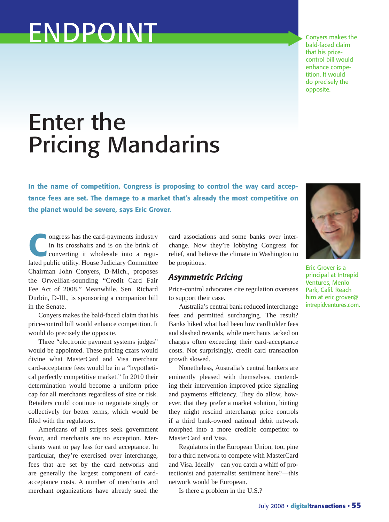# ENDPOINT

Conyers makes the bald-faced claim that his pricecontrol bill would enhance competition. It would do precisely the opposite.

## Enter the Pricing Mandarins

**In the name of competition, Congress is proposing to control the way card acceptance fees are set. The damage to a market that's already the most competitive on the planet would be severe, says Eric Grover.**

**Congress has the card-payments industry<br>in its crosshairs and is on the brink of<br>converting it wholesale into a regu-<br>lated public utility. House Judiciary Committee** in its crosshairs and is on the brink of converting it wholesale into a regulated public utility. House Judiciary Committee Chairman John Conyers, D-Mich., proposes the Orwellian-sounding "Credit Card Fair Fee Act of 2008." Meanwhile, Sen. Richard Durbin, D-Ill., is sponsoring a companion bill in the Senate.

Conyers makes the bald-faced claim that his price-control bill would enhance competition. It would do precisely the opposite.

Three "electronic payment systems judges" would be appointed. These pricing czars would divine what MasterCard and Visa merchant card-acceptance fees would be in a "hypothetical perfectly competitive market." In 2010 their determination would become a uniform price cap for all merchants regardless of size or risk. Retailers could continue to negotiate singly or collectively for better terms, which would be filed with the regulators.

Americans of all stripes seek government favor, and merchants are no exception. Merchants want to pay less for card acceptance. In particular, they're exercised over interchange, fees that are set by the card networks and are generally the largest component of cardacceptance costs. A number of merchants and merchant organizations have already sued the

card associations and some banks over interchange. Now they're lobbying Congress for relief, and believe the climate in Washington to be propitious.

#### *Asymmetric Pricing*

Price-control advocates cite regulation overseas to support their case.

Australia's central bank reduced interchange fees and permitted surcharging. The result? Banks hiked what had been low cardholder fees and slashed rewards, while merchants tacked on charges often exceeding their card-acceptance costs. Not surprisingly, credit card transaction growth slowed.

Nonetheless, Australia's central bankers are eminently pleased with themselves, contending their intervention improved price signaling and payments efficiency. They do allow, however, that they prefer a market solution, hinting they might rescind interchange price controls if a third bank-owned national debit network morphed into a more credible competitor to MasterCard and Visa.

Regulators in the European Union, too, pine for a third network to compete with MasterCard and Visa. Ideally—can you catch a whiff of protectionist and paternalist sentiment here?—this network would be European.

Is there a problem in the U.S.?



Eric Grover is a principal at Intrepid Ventures, Menlo Park, Calif. Reach him at eric.grover@ intrepidventures.com.